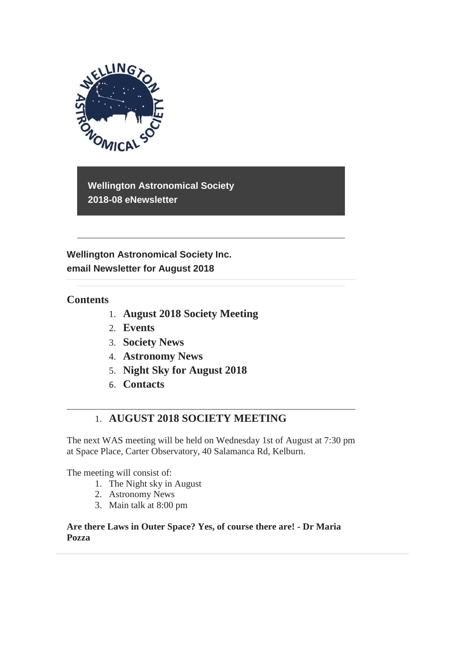

**Wellington Astronomical Society 2018-08 eNewsletter**

**Wellington Astronomical Society Inc. email Newsletter for August 2018** 

## **Contents**

- 1. **August 2018 Society Meeting**
- 2. **Events**
- 3. **Society News**
- 4. **Astronomy News**
- 5. **Night Sky for August 2018**
- 6. **Contacts**

# 1. **AUGUST 2018 SOCIETY MEETING**

The next WAS meeting will be held on Wednesday 1st of August at 7:30 pm at Space Place, Carter Observatory, 40 Salamanca Rd, Kelburn.

The meeting will consist of:

- 1. The Night sky in August
- 2. Astronomy News
- 3. Main talk at 8:00 pm

**Are there Laws in Outer Space? Yes, of course there are! - Dr Maria Pozza**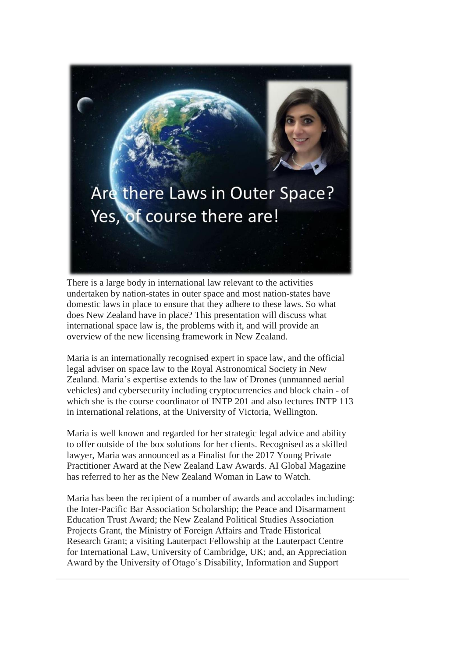

There is a large body in international law relevant to the activities undertaken by nation-states in outer space and most nation-states have domestic laws in place to ensure that they adhere to these laws. So what does New Zealand have in place? This presentation will discuss what international space law is, the problems with it, and will provide an overview of the new licensing framework in New Zealand.

Maria is an internationally recognised expert in space law, and the official legal adviser on space law to the Royal Astronomical Society in New Zealand. Maria's expertise extends to the law of Drones (unmanned aerial vehicles) and cybersecurity including cryptocurrencies and block chain - of which she is the course coordinator of INTP 201 and also lectures INTP 113 in international relations, at the University of Victoria, Wellington.

Maria is well known and regarded for her strategic legal advice and ability to offer outside of the box solutions for her clients. Recognised as a skilled lawyer, Maria was announced as a Finalist for the 2017 Young Private Practitioner Award at the New Zealand Law Awards. AI Global Magazine has referred to her as the New Zealand Woman in Law to Watch.

Maria has been the recipient of a number of awards and accolades including: the Inter-Pacific Bar Association Scholarship; the Peace and Disarmament Education Trust Award; the New Zealand Political Studies Association Projects Grant, the Ministry of Foreign Affairs and Trade Historical Research Grant; a visiting Lauterpact Fellowship at the Lauterpact Centre for International Law, University of Cambridge, UK; and, an Appreciation Award by the University of Otago's Disability, Information and Support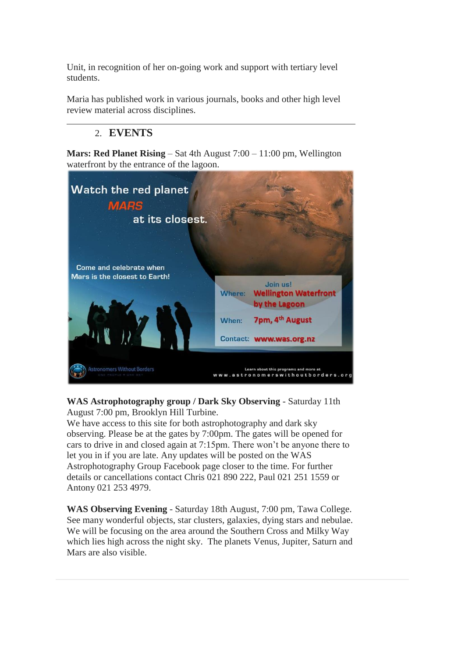Unit, in recognition of her on-going work and support with tertiary level students.

Maria has published work in various journals, books and other high level review material across disciplines.

# 2. **EVENTS**

**Mars: Red Planet Rising** – Sat 4th August 7:00 – 11:00 pm, Wellington waterfront by the entrance of the lagoon.



**WAS Astrophotography group / Dark Sky Observing** - Saturday 11th August 7:00 pm, Brooklyn Hill Turbine.

We have access to this site for both astrophotography and dark sky observing. Please be at the gates by 7:00pm. The gates will be opened for cars to drive in and closed again at 7:15pm. There won't be anyone there to let you in if you are late. Any updates will be posted on the WAS Astrophotography Group Facebook page closer to the time. For further details or cancellations contact Chris 021 890 222, Paul 021 251 1559 or Antony 021 253 4979.

**WAS Observing Evening** - Saturday 18th August, 7:00 pm, Tawa College. See many wonderful objects, star clusters, galaxies, dying stars and nebulae. We will be focusing on the area around the Southern Cross and Milky Way which lies high across the night sky. The planets Venus, Jupiter, Saturn and Mars are also visible.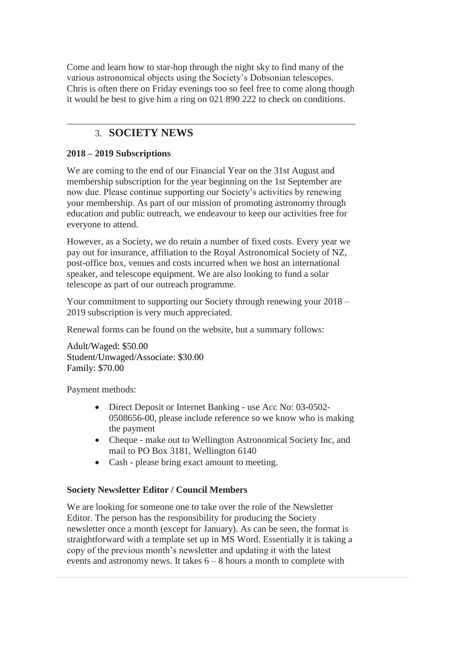Come and learn how to star-hop through the night sky to find many of the various astronomical objects using the Society's Dobsonian telescopes. Chris is often there on Friday evenings too so feel free to come along though it would be best to give him a ring on 021 890 222 to check on conditions.

## 3. **SOCIETY NEWS**

### **2018 – 2019 Subscriptions**

We are coming to the end of our Financial Year on the 31st August and membership subscription for the year beginning on the 1st September are now due. Please continue supporting our Society's activities by renewing your membership. As part of our mission of promoting astronomy through education and public outreach, we endeavour to keep our activities free for everyone to attend.

However, as a Society, we do retain a number of fixed costs. Every year we pay out for insurance, affiliation to the Royal Astronomical Society of NZ, post-office box, venues and costs incurred when we host an international speaker, and telescope equipment. We are also looking to fund a solar telescope as part of our outreach programme.

Your commitment to supporting our Society through renewing your 2018 – 2019 subscription is very much appreciated.

Renewal forms can be found on the website, but a summary follows:

Adult/Waged: \$50.00 Student/Unwaged/Associate: \$30.00 Family: \$70.00

Payment methods:

- Direct Deposit or Internet Banking use Acc No: 03-0502-0508656-00, please include reference so we know who is making the payment
- Cheque make out to Wellington Astronomical Society Inc, and mail to PO Box 3181, Wellington 6140
- Cash please bring exact amount to meeting.

## **Society Newsletter Editor / Council Members**

We are looking for someone one to take over the role of the Newsletter Editor. The person has the responsibility for producing the Society newsletter once a month (except for January). As can be seen, the format is straightforward with a template set up in MS Word. Essentially it is taking a copy of the previous month's newsletter and updating it with the latest events and astronomy news. It takes 6 – 8 hours a month to complete with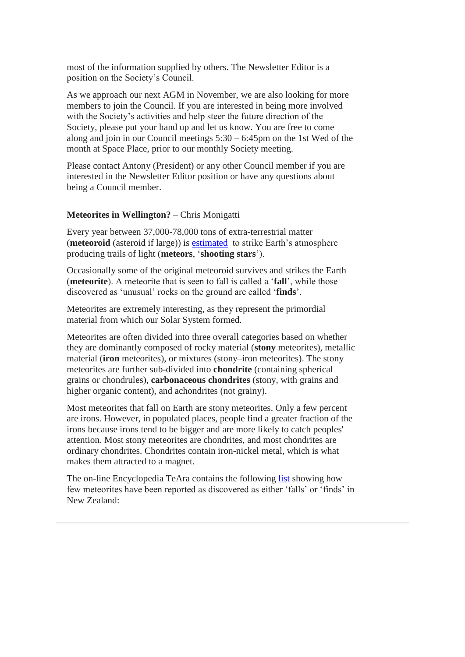most of the information supplied by others. The Newsletter Editor is a position on the Society's Council.

As we approach our next AGM in November, we are also looking for more members to join the Council. If you are interested in being more involved with the Society's activities and help steer the future direction of the Society, please put your hand up and let us know. You are free to come along and join in our Council meetings 5:30 – 6:45pm on the 1st Wed of the month at Space Place, prior to our monthly Society meeting.

Please contact Antony (President) or any other Council member if you are interested in the Newsletter Editor position or have any questions about being a Council member.

#### **Meteorites in Wellington?** – Chris Monigatti

Every year between 37,000-78,000 tons of extra-terrestrial matter (**meteoroid** (asteroid if large)) is [estimated](http://curious.astro.cornell.edu/our-solar-system/comets-meteors-and-asteroids/75-our-solar-system/comets-meteors-and-asteroids/meteorites/313-how-many-meteorites-hit-earth-each-year-intermediate) to strike Earth's atmosphere producing trails of light (**meteors**, '**shooting stars**').

Occasionally some of the original meteoroid survives and strikes the Earth (**meteorite**). A meteorite that is seen to fall is called a '**fall**', while those discovered as 'unusual' rocks on the ground are called '**finds**'.

Meteorites are extremely interesting, as they represent the primordial material from which our Solar System formed.

Meteorites are often divided into three overall categories based on whether they are dominantly composed of rocky material (**stony** meteorites), metallic material (**iron** meteorites), or mixtures (stony–iron meteorites). The stony meteorites are further sub-divided into **chondrite** (containing spherical grains or chondrules), **carbonaceous chondrites** (stony, with grains and higher organic content), and achondrites (not grainy).

Most meteorites that fall on Earth are stony meteorites. Only a few percent are irons. However, in populated places, people find a greater fraction of the irons because irons tend to be bigger and are more likely to catch peoples' attention. Most stony meteorites are chondrites, and most chondrites are ordinary chondrites. Chondrites contain iron-nickel metal, which is what makes them attracted to a magnet.

The on-line Encyclopedia TeAra contains the following [list](https://teara.govt.nz/en/meteorites/page-2) showing how few meteorites have been reported as discovered as either 'falls' or 'finds' in New Zealand: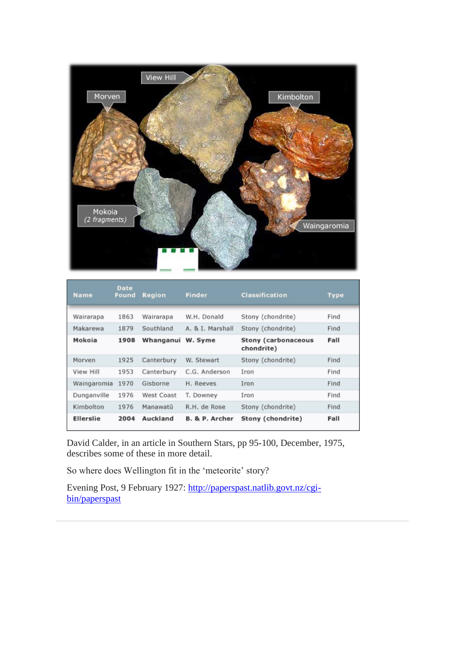

| <b>Name</b>      | <b>Date</b><br><b>Found</b> | <b>Region</b> | <b>Finder</b>    | <b>Classification</b>             | <b>Type</b> |
|------------------|-----------------------------|---------------|------------------|-----------------------------------|-------------|
| Wairarapa        | 1863                        | Wairarapa     | W.H. Donald      | Stony (chondrite)                 | Find        |
| Makarewa         | 1879                        | Southland     | A. & I. Marshall | Stony (chondrite)                 | Find        |
| Mokoia           | 1908                        | Whanganui     | W. Syme          | Stony (carbonaceous<br>chondrite) | Fall        |
| Morven           | 1925                        | Canterbury    | W. Stewart       | Stony (chondrite)                 | Find        |
| View Hill        | 1953                        | Canterbury    | C.G. Anderson    | Iron                              | Find        |
| Waingaromia      | 1970                        | Gisborne      | H. Reeves        | Iron                              | Find        |
| Dunganville      | 1976                        | West Coast    | T. Downey        | Iron                              | Find        |
| Kimbolton        | 1976                        | Manawatū      | R.H. de Rose     | Stony (chondrite)                 | Find        |
| <b>Ellerslie</b> | 2004                        | Auckland      | B. & P. Archer   | Stony (chondrite)                 | Fall        |

David Calder, in an article in Southern Stars, pp 95-100, December, 1975, describes some of these in more detail.

So where does Wellington fit in the 'meteorite' story?

Evening Post, 9 February 1927: [http://paperspast.natlib.govt.nz/cgi](http://paperspast.natlib.govt.nz/cgi-bin/paperspast)[bin/paperspast](http://paperspast.natlib.govt.nz/cgi-bin/paperspast)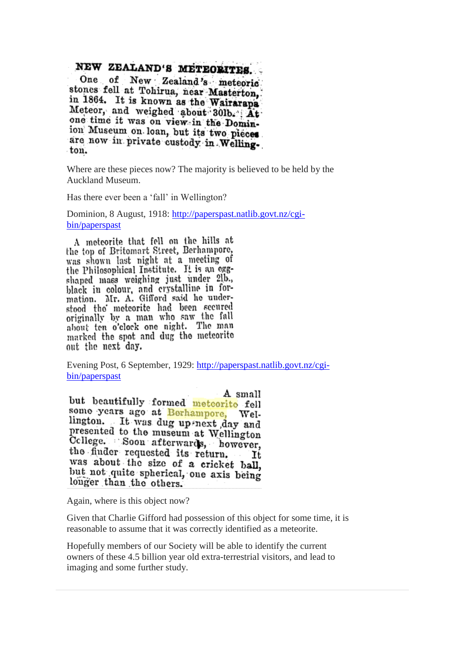# NEW ZEALAND'S METEORITES.

New Zealand's meteoric One of stones fell at Tohirua, near Masterton, in 1864. It is known as the Wairarapa Meteor, and weighed about 30lb. At one time it was on view in the Dominion Museum on loan, but its two pieces are now in private custody in Wellington.

Where are these pieces now? The majority is believed to be held by the Auckland Museum.

Has there ever been a 'fall' in Wellington?

Dominion, 8 August, 1918: [http://paperspast.natlib.govt.nz/cgi](http://paperspast.natlib.govt.nz/cgi-bin/paperspast)[bin/paperspast](http://paperspast.natlib.govt.nz/cgi-bin/paperspast)

A meteorite that fell on the hills at the top of Britomart Street, Berhampore, was shown last night at a meeting of the Philosophical Institute. It is an eggshaped mass weighing just under 21b., black in colour, and crystalline in for-<br>mation. Mr. A. Gifford said he understood the meteorite had been secured originally by a man who saw the fall about ten o'clock one night. The man marked the spot and dug the meteorite out the next day.

Evening Post, 6 September, 1929: [http://paperspast.natlib.govt.nz/cgi](http://paperspast.natlib.govt.nz/cgi-bin/paperspast)[bin/paperspast](http://paperspast.natlib.govt.nz/cgi-bin/paperspast)

A small but beautifully formed meteorito fell some years ago at Berhampore, Wellington. It was dug up next day and presented to the museum at Wellington Cellege. Soon afterwards, however, the finder requested its return. It was about the size of a cricket ball, but not quite spherical, one axis being longer than the others.

Again, where is this object now?

Given that Charlie Gifford had possession of this object for some time, it is reasonable to assume that it was correctly identified as a meteorite.

Hopefully members of our Society will be able to identify the current owners of these 4.5 billion year old extra-terrestrial visitors, and lead to imaging and some further study.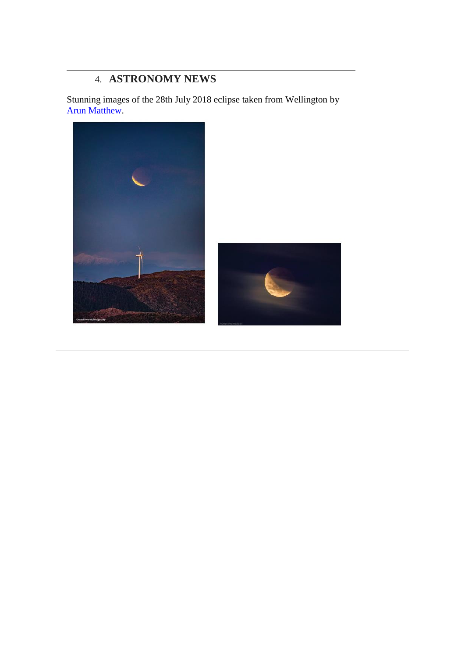# 4. **ASTRONOMY NEWS**

Stunning images of the 28th July 2018 eclipse taken from Wellington by [Arun Matthew.](https://www.facebook.com/pg/matthewarunphotography/about/?ref=page_internal)

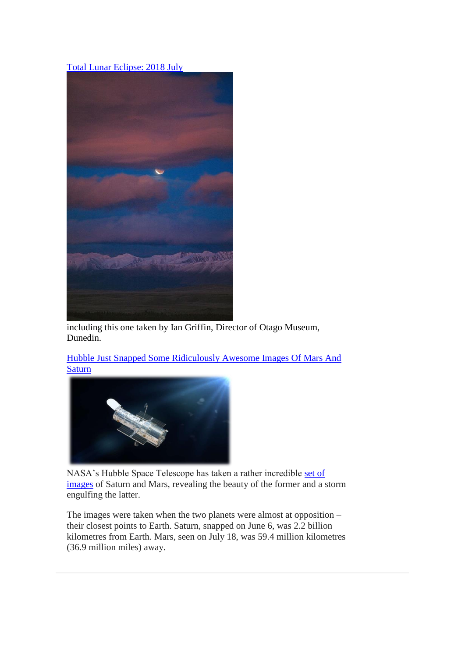### [Total Lunar Eclipse: 2018 July](https://www.facebook.com/pg/APOD.Sky/photos/?tab=album&album_id=1520357464735134)



including this one taken by Ian Griffin, Director of Otago Museum, Dunedin.

[Hubble Just Snapped Some Ridiculously Awesome Images Of Mars And](http://www.iflscience.com/space/hubble-just-snapped-some-ridiculously-awesome-images-of-mars-and-saturn/)  **[Saturn](http://www.iflscience.com/space/hubble-just-snapped-some-ridiculously-awesome-images-of-mars-and-saturn/)** 



NASA's Hubble Space Telescope has taken a rather incredible [set of](https://www.spacetelescope.org/news/heic1814/)  [images](https://www.spacetelescope.org/news/heic1814/) of Saturn and Mars, revealing the beauty of the former and a storm engulfing the latter.

The images were taken when the two planets were almost at opposition – their closest points to Earth. Saturn, snapped on June 6, was 2.2 billion kilometres from Earth. Mars, seen on July 18, was 59.4 million kilometres (36.9 million miles) away.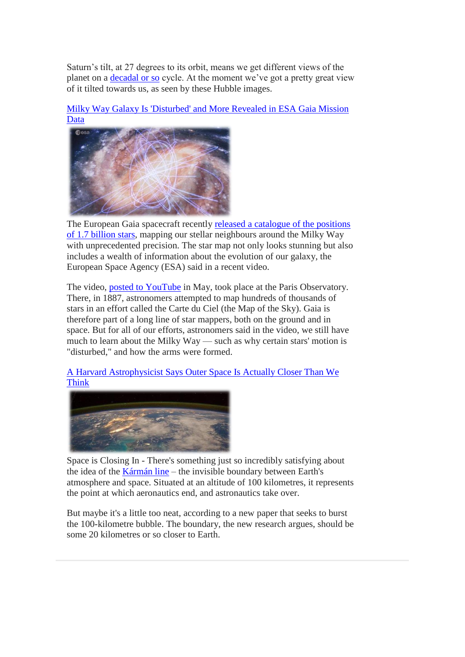Saturn's tilt, at 27 degrees to its orbit, means we get different views of the planet on a [decadal or so](http://www.nakedeyeplanets.com/saturn-orbit.htm) cycle. At the moment we've got a pretty great view of it tilted towards us, as seen by these Hubble images.



[Milky Way Galaxy Is 'Disturbed' and More Revealed in ESA Gaia Mission](https://www.space.com/41216-milky-way-disturbed-gaia-mission-data.html)  [Data](https://www.space.com/41216-milky-way-disturbed-gaia-mission-data.html)

The European Gaia spacecraft recently [released a catalogue](https://www.space.com/40406-gaia-release-color-milky-way-map.html) of the positions [of 1.7 billion stars,](https://www.space.com/40406-gaia-release-color-milky-way-map.html) mapping our stellar neighbours around the Milky Way with unprecedented precision. The star map not only looks stunning but also includes a wealth of information about the evolution of our galaxy, the European Space Agency (ESA) said in a recent video.

The video, [posted to YouTube](https://www.youtube.com/watch?v=doSoTYRPVtE) in May, took place at the Paris Observatory. There, in 1887, astronomers attempted to map hundreds of thousands of stars in an effort called the Carte du Ciel (the Map of the Sky). Gaia is therefore part of a long line of star mappers, both on the ground and in space. But for all of our efforts, astronomers said in the video, we still have much to learn about the Milky Way — such as why certain stars' motion is "disturbed," and how the arms were formed.

[A Harvard Astrophysicist Says Outer Space Is Actually Closer Than We](https://www.sciencealert.com/karman-line-space-boundary-closer-to-earth-80-kilometres-jonathan-c-mcdowell)  [Think](https://www.sciencealert.com/karman-line-space-boundary-closer-to-earth-80-kilometres-jonathan-c-mcdowell)



Space is Closing In - There's something just so incredibly satisfying about the idea of the [Kármán line](https://en.wikipedia.org/wiki/K%C3%A1rm%C3%A1n_line) – the invisible boundary between Earth's atmosphere and space. Situated at an altitude of 100 kilometres, it represents the point at which aeronautics end, and astronautics take over.

But maybe it's a little too neat, according to a new paper that seeks to burst the 100-kilometre bubble. The boundary, the new research argues, should be some 20 kilometres or so closer to Earth.